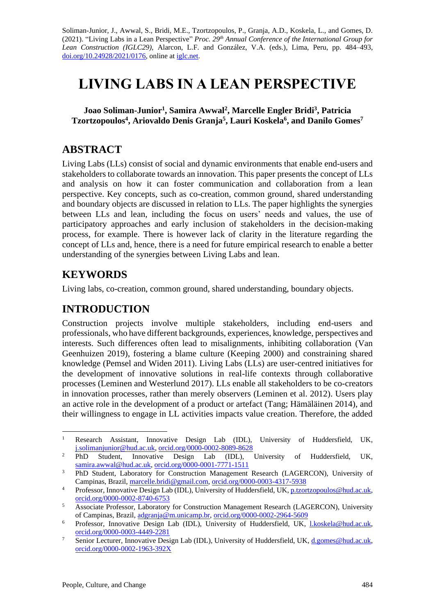Soliman-Junior, J., Awwal, S., Bridi, M.E., Tzortzopoulos, P., Granja, A.D., Koskela, L., and Gomes, D. (2021). "Living Labs in a Lean Perspective" *Proc. 29 th Annual Conference of the International Group for Lean Construction (IGLC29),* Alarcon, L.F. and González, V.A. (eds.)*,* Lima, Peru, pp. 484–493, [doi.org/10.24928/2021/0176,](https://doi.org/10.24928/2021/0176) online a[t iglc.net.](http://iglc.net/)

# **LIVING LABS IN A LEAN PERSPECTIVE**

**Joao Soliman-Junior<sup>1</sup> , Samira Awwal<sup>2</sup> , Marcelle Engler Bridi<sup>3</sup> , Patricia Tzortzopoulos<sup>4</sup> , Ariovaldo Denis Granja<sup>5</sup> , Lauri Koskela<sup>6</sup> , and Danilo Gomes<sup>7</sup>**

### **ABSTRACT**

Living Labs (LLs) consist of social and dynamic environments that enable end-users and stakeholders to collaborate towards an innovation. This paper presents the concept of LLs and analysis on how it can foster communication and collaboration from a lean perspective. Key concepts, such as co-creation, common ground, shared understanding and boundary objects are discussed in relation to LLs. The paper highlights the synergies between LLs and lean, including the focus on users' needs and values, the use of participatory approaches and early inclusion of stakeholders in the decision-making process, for example. There is however lack of clarity in the literature regarding the concept of LLs and, hence, there is a need for future empirical research to enable a better understanding of the synergies between Living Labs and lean.

## **KEYWORDS**

Living labs, co-creation, common ground, shared understanding, boundary objects.

## **INTRODUCTION**

Construction projects involve multiple stakeholders, including end-users and professionals, who have different backgrounds, experiences, knowledge, perspectives and interests. Such differences often lead to misalignments, inhibiting collaboration (Van Geenhuizen 2019), fostering a blame culture (Keeping 2000) and constraining shared knowledge (Pemsel and Widen 2011). Living Labs (LLs) are user-centred initiatives for the development of innovative solutions in real-life contexts through collaborative processes (Leminen and Westerlund 2017). LLs enable all stakeholders to be co-creators in innovation processes, rather than merely observers (Leminen et al. 2012). Users play an active role in the development of a product or artefact (Tang; Hämäläinen 2014), and their willingness to engage in LL activities impacts value creation. Therefore, the added

<sup>&</sup>lt;sup>1</sup> Research Assistant, Innovative Design Lab (IDL), University of Huddersfield, UK, [j.solimanjunior@hud.ac.uk,](mailto:j.solimanjunior@hud.ac.uk) [orcid.org/0000-0002-8089-8628](https://orcid.org/0000-0002-8089-8628)

<sup>&</sup>lt;sup>2</sup> PhD Student, Innovative Design Lab (IDL), University of Huddersfield, UK, [samira.awwal@hud.ac.uk,](mailto:samira.awwal@hud.ac.uk) [orcid.org/0000-0001-7771-1511](https://orcid.org/0000-0001-7771-1511)

<sup>&</sup>lt;sup>3</sup> PhD Student, Laboratory for Construction Management Research (LAGERCON), University of Campinas, Brazil[, marcelle.bridi@gmail.com,](mailto:marcelle.bridi@gmail.com) [orcid.org/0000-0003-4317-5938](https://orcid.org/0000-0003-4317-5938)

<sup>&</sup>lt;sup>4</sup> Professor, Innovative Design Lab (IDL), University of Huddersfield, UK, p.tzortzopoulos @hud.ac.uk, [orcid.org/0000-0002-8740-6753](https://orcid.org/0000-0002-8740-6753)

<sup>&</sup>lt;sup>5</sup> Associate Professor, Laboratory for Construction Management Research (LAGERCON), University of Campinas, Brazil, [adgranja@m.unicamp.br,](mailto:adgranja@m.unicamp.br) [orcid.org/0000-0002-2964-5609](https://orcid.org/0000-0002-2964-5609)

<sup>6</sup> Professor, Innovative Design Lab (IDL), University of Huddersfield, UK, [l.koskela@hud.ac.uk,](mailto:l.koskela@hud.ac.uk) [orcid.org/0000-0003-4449-2281](https://orcid.org/0000-0003-4449-2281)

<sup>7</sup> Senior Lecturer, Innovative Design Lab (IDL), University of Huddersfield, UK, [d.gomes@hud.ac.uk,](mailto:d.gomes@hud.ac.uk) [orcid.org/0000-0002-1963-392X](https://orcid.org/0000-0002-1963-392X)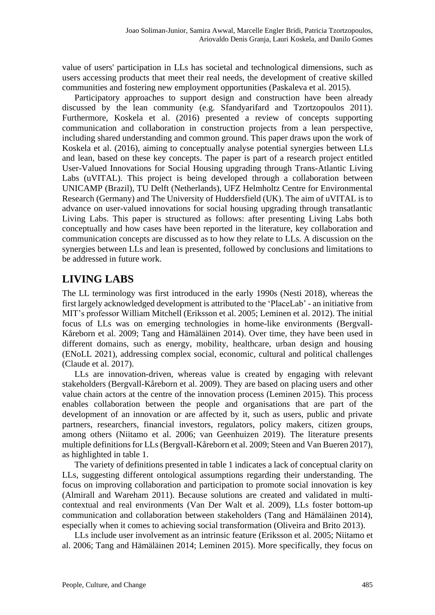value of users' participation in LLs has societal and technological dimensions, such as users accessing products that meet their real needs, the development of creative skilled communities and fostering new employment opportunities (Paskaleva et al. 2015).

Participatory approaches to support design and construction have been already discussed by the lean community (e.g. Sfandyarifard and Tzortzopoulos 2011). Furthermore, Koskela et al. (2016) presented a review of concepts supporting communication and collaboration in construction projects from a lean perspective, including shared understanding and common ground. This paper draws upon the work of Koskela et al. (2016), aiming to conceptually analyse potential synergies between LLs and lean, based on these key concepts. The paper is part of a research project entitled User-Valued Innovations for Social Housing upgrading through Trans-Atlantic Living Labs (uVITAL). This project is being developed through a collaboration between UNICAMP (Brazil), TU Delft (Netherlands), UFZ Helmholtz Centre for Environmental Research (Germany) and The University of Huddersfield (UK). The aim of uVITAL is to advance on user-valued innovations for social housing upgrading through transatlantic Living Labs. This paper is structured as follows: after presenting Living Labs both conceptually and how cases have been reported in the literature, key collaboration and communication concepts are discussed as to how they relate to LLs. A discussion on the synergies between LLs and lean is presented, followed by conclusions and limitations to be addressed in future work.

## **LIVING LABS**

The LL terminology was first introduced in the early 1990s (Nesti 2018), whereas the first largely acknowledged development is attributed to the 'PlaceLab' - an initiative from MIT's professor William Mitchell (Eriksson et al. 2005; Leminen et al. 2012). The initial focus of LLs was on emerging technologies in home-like environments (Bergvall-Kåreborn et al. 2009; Tang and Hämäläinen 2014). Over time, they have been used in different domains, such as energy, mobility, healthcare, urban design and housing (ENoLL 2021), addressing complex social, economic, cultural and political challenges (Claude et al. 2017).

LLs are innovation-driven, whereas value is created by engaging with relevant stakeholders (Bergvall-Kåreborn et al. 2009). They are based on placing users and other value chain actors at the centre of the innovation process (Leminen 2015). This process enables collaboration between the people and organisations that are part of the development of an innovation or are affected by it, such as users, public and private partners, researchers, financial investors, regulators, policy makers, citizen groups, among others (Niitamo et al. 2006; van Geenhuizen 2019). The literature presents multiple definitions for LLs (Bergvall-Kåreborn et al. 2009; Steen and Van Bueren 2017), as highlighted in table 1.

The variety of definitions presented in table 1 indicates a lack of conceptual clarity on LLs, suggesting different ontological assumptions regarding their understanding. The focus on improving collaboration and participation to promote social innovation is key (Almirall and Wareham 2011). Because solutions are created and validated in multicontextual and real environments (Van Der Walt et al. 2009), LLs foster bottom-up communication and collaboration between stakeholders (Tang and Hämäläinen 2014), especially when it comes to achieving social transformation (Oliveira and Brito 2013).

LLs include user involvement as an intrinsic feature (Eriksson et al. 2005; Niitamo et al. 2006; Tang and Hämäläinen 2014; Leminen 2015). More specifically, they focus on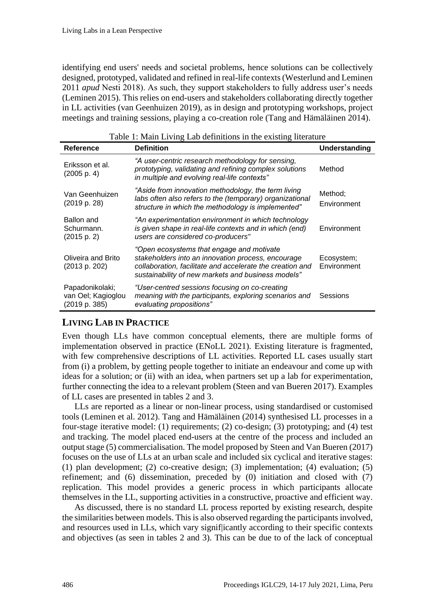identifying end users' needs and societal problems, hence solutions can be collectively designed, prototyped, validated and refined in real-life contexts (Westerlund and Leminen 2011 *apud* Nesti 2018). As such, they support stakeholders to fully address user's needs (Leminen 2015). This relies on end-users and stakeholders collaborating directly together in LL activities (van Geenhuizen 2019), as in design and prototyping workshops, project meetings and training sessions, playing a co-creation role (Tang and Hämäläinen 2014).

| <b>Reference</b>                                       | <b>Definition</b>                                                                                                                                                                                                  | Understanding             |
|--------------------------------------------------------|--------------------------------------------------------------------------------------------------------------------------------------------------------------------------------------------------------------------|---------------------------|
| Eriksson et al.<br>(2005 p. 4)                         | "A user-centric research methodology for sensing,<br>prototyping, validating and refining complex solutions<br>in multiple and evolving real-life contexts"                                                        | Method                    |
| Van Geenhuizen<br>(2019 p. 28)                         | "Aside from innovation methodology, the term living<br>labs often also refers to the (temporary) organizational<br>structure in which the methodology is implemented"                                              | Method;<br>Environment    |
| Ballon and<br>Schurmann.<br>(2015 p. 2)                | "An experimentation environment in which technology<br>is given shape in real-life contexts and in which (end)<br>users are considered co-producers"                                                               | Environment               |
| Oliveira and Brito<br>(2013 p. 202)                    | "Open ecosystems that engage and motivate<br>stakeholders into an innovation process, encourage<br>collaboration, facilitate and accelerate the creation and<br>sustainability of new markets and business models" | Ecosystem;<br>Environment |
| Papadonikolaki;<br>van Oel; Kagioglou<br>(2019 p. 385) | "User-centred sessions focusing on co-creating<br>meaning with the participants, exploring scenarios and<br>evaluating propositions"                                                                               | Sessions                  |

### $T$  is a set of the existing line  $T$

#### **LIVING LAB IN PRACTICE**

Even though LLs have common conceptual elements, there are multiple forms of implementation observed in practice (ENoLL 2021). Existing literature is fragmented, with few comprehensive descriptions of LL activities. Reported LL cases usually start from (i) a problem, by getting people together to initiate an endeavour and come up with ideas for a solution; or (ii) with an idea, when partners set up a lab for experimentation, further connecting the idea to a relevant problem (Steen and van Bueren 2017). Examples of LL cases are presented in tables 2 and 3.

LLs are reported as a linear or non-linear process, using standardised or customised tools (Leminen et al. 2012). Tang and Hämäläinen (2014) synthesised LL processes in a four-stage iterative model: (1) requirements; (2) co-design; (3) prototyping; and (4) test and tracking. The model placed end-users at the centre of the process and included an output stage (5) commercialisation. The model proposed by Steen and Van Bueren (2017) focuses on the use of LLs at an urban scale and included six cyclical and iterative stages: (1) plan development; (2) co-creative design; (3) implementation; (4) evaluation; (5) refinement; and (6) dissemination, preceded by (0) initiation and closed with (7) replication. This model provides a generic process in which participants allocate themselves in the LL, supporting activities in a constructive, proactive and efficient way.

As discussed, there is no standard LL process reported by existing research, despite the similarities between models. This is also observed regarding the participants involved, and resources used in LLs, which vary signif|icantly according to their specific contexts and objectives (as seen in tables 2 and 3). This can be due to of the lack of conceptual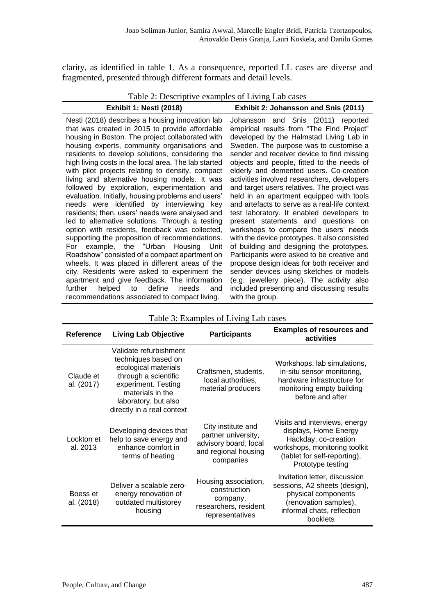clarity, as identified in table 1. As a consequence, reported LL cases are diverse and fragmented, presented through different formats and detail levels.

 $T_{\text{eff}}$  2:  $D_{\text{eff}}$  is the case of Lab cases  $T_{\text{eff}}$  and  $T_{\text{eff}}$  and  $T_{\text{eff}}$ 

|                                | Table 2: Descriptive examples of Living Lab cases |
|--------------------------------|---------------------------------------------------|
| <b>Exhibit 1: Nesti (2018)</b> | Exhibit 2: Johansson and Snis (2011)              |

Nesti (2018) describes a housing innovation lab that was created in 2015 to provide affordable housing in Boston. The project collaborated with housing experts, community organisations and residents to develop solutions, considering the high living costs in the local area. The lab started with pilot projects relating to density, compact living and alternative housing models. It was followed by exploration, experimentation and evaluation. Initially, housing problems and users' needs were identified by interviewing key residents; then, users' needs were analysed and led to alternative solutions. Through a testing option with residents, feedback was collected, supporting the proposition of recommendations. For example, the "Urban Housing Unit Roadshow" consisted of a compact apartment on wheels. It was placed in different areas of the city. Residents were asked to experiment the apartment and give feedback. The information further helped to define needs and recommendations associated to compact living.

Johansson and Snis (2011) reported empirical results from "The Find Project" developed by the Halmstad Living Lab in Sweden. The purpose was to customise a sender and receiver device to find missing objects and people, fitted to the needs of elderly and demented users. Co-creation activities involved researchers, developers and target users relatives. The project was held in an apartment equipped with tools and artefacts to serve as a real-life context test laboratory. It enabled developers to present statements and questions on workshops to compare the users' needs with the device prototypes. It also consisted of building and designing the prototypes. Participants were asked to be creative and propose design ideas for both receiver and sender devices using sketches or models (e.g. jewellery piece). The activity also included presenting and discussing results with the group.

| <b>Reference</b>        | <b>Participants</b><br><b>Living Lab Objective</b>                                                                                                                                             |                                                                                                         | <b>Examples of resources and</b><br>activities                                                                                                                       |
|-------------------------|------------------------------------------------------------------------------------------------------------------------------------------------------------------------------------------------|---------------------------------------------------------------------------------------------------------|----------------------------------------------------------------------------------------------------------------------------------------------------------------------|
| Claude et<br>al. (2017) | Validate refurbishment<br>techniques based on<br>ecological materials<br>through a scientific<br>experiment. Testing<br>materials in the<br>laboratory, but also<br>directly in a real context | Craftsmen, students,<br>local authorities,<br>material producers                                        | Workshops, lab simulations,<br>in-situ sensor monitoring,<br>hardware infrastructure for<br>monitoring empty building<br>before and after                            |
| Lockton et<br>al. 2013  | Developing devices that<br>help to save energy and<br>enhance comfort in<br>terms of heating                                                                                                   | City institute and<br>partner university,<br>advisory board, local<br>and regional housing<br>companies | Visits and interviews, energy<br>displays, Home Energy<br>Hackday, co-creation<br>workshops, monitoring toolkit<br>(tablet for self-reporting),<br>Prototype testing |
| Boess et<br>al. (2018)  | Deliver a scalable zero-<br>energy renovation of<br>outdated multistorey<br>housing                                                                                                            | Housing association,<br>construction<br>company,<br>researchers, resident<br>representatives            | Invitation letter, discussion<br>sessions, A2 sheets (design),<br>physical components<br>(renovation samples),<br>informal chats, reflection<br>booklets             |

Table 3: Examples of Living Lab cases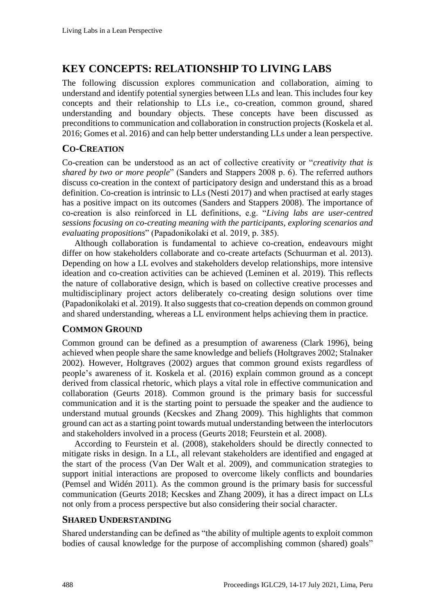## **KEY CONCEPTS: RELATIONSHIP TO LIVING LABS**

The following discussion explores communication and collaboration, aiming to understand and identify potential synergies between LLs and lean. This includes four key concepts and their relationship to LLs i.e., co-creation, common ground, shared understanding and boundary objects. These concepts have been discussed as preconditions to communication and collaboration in construction projects (Koskela et al. 2016; Gomes et al. 2016) and can help better understanding LLs under a lean perspective.

#### **CO-CREATION**

Co-creation can be understood as an act of collective creativity or "*creativity that is shared by two or more people*" (Sanders and Stappers 2008 p. 6). The referred authors discuss co-creation in the context of participatory design and understand this as a broad definition. Co-creation is intrinsic to LLs (Nesti 2017) and when practised at early stages has a positive impact on its outcomes (Sanders and Stappers 2008). The importance of co-creation is also reinforced in LL definitions, e.g. "*Living labs are user-centred sessions focusing on co-creating meaning with the participants, exploring scenarios and evaluating propositions*" (Papadonikolaki et al. 2019, p. 385).

Although collaboration is fundamental to achieve co-creation, endeavours might differ on how stakeholders collaborate and co-create artefacts (Schuurman et al. 2013). Depending on how a LL evolves and stakeholders develop relationships, more intensive ideation and co-creation activities can be achieved (Leminen et al. 2019). This reflects the nature of collaborative design, which is based on collective creative processes and multidisciplinary project actors deliberately co-creating design solutions over time (Papadonikolaki et al. 2019). It also suggests that co-creation depends on common ground and shared understanding, whereas a LL environment helps achieving them in practice.

#### **COMMON GROUND**

Common ground can be defined as a presumption of awareness (Clark 1996), being achieved when people share the same knowledge and beliefs (Holtgraves 2002; Stalnaker 2002). However, Holtgraves (2002) argues that common ground exists regardless of people's awareness of it. Koskela et al. (2016) explain common ground as a concept derived from classical rhetoric, which plays a vital role in effective communication and collaboration (Geurts 2018). Common ground is the primary basis for successful communication and it is the starting point to persuade the speaker and the audience to understand mutual grounds (Kecskes and Zhang 2009). This highlights that common ground can act as a starting point towards mutual understanding between the interlocutors and stakeholders involved in a process (Geurts 2018; Feurstein et al. 2008).

According to Feurstein et al. (2008), stakeholders should be directly connected to mitigate risks in design. In a LL, all relevant stakeholders are identified and engaged at the start of the process (Van Der Walt et al. 2009), and communication strategies to support initial interactions are proposed to overcome likely conflicts and boundaries (Pemsel and Widén 2011). As the common ground is the primary basis for successful communication (Geurts 2018; Kecskes and Zhang 2009), it has a direct impact on LLs not only from a process perspective but also considering their social character.

#### **SHARED UNDERSTANDING**

Shared understanding can be defined as "the ability of multiple agents to exploit common bodies of causal knowledge for the purpose of accomplishing common (shared) goals"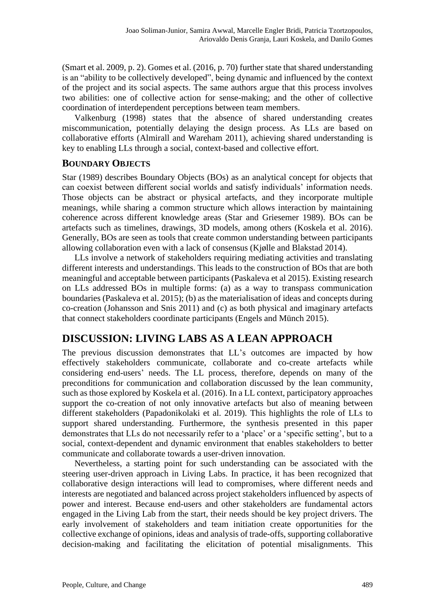(Smart et al. 2009, p. 2). Gomes et al. (2016, p. 70) further state that shared understanding is an "ability to be collectively developed", being dynamic and influenced by the context of the project and its social aspects. The same authors argue that this process involves two abilities: one of collective action for sense-making; and the other of collective coordination of interdependent perceptions between team members.

Valkenburg (1998) states that the absence of shared understanding creates miscommunication, potentially delaying the design process. As LLs are based on collaborative efforts (Almirall and Wareham 2011), achieving shared understanding is key to enabling LLs through a social, context-based and collective effort.

#### **BOUNDARY OBJECTS**

Star (1989) describes Boundary Objects (BOs) as an analytical concept for objects that can coexist between different social worlds and satisfy individuals' information needs. Those objects can be abstract or physical artefacts, and they incorporate multiple meanings, while sharing a common structure which allows interaction by maintaining coherence across different knowledge areas (Star and Griesemer 1989). BOs can be artefacts such as timelines, drawings, 3D models, among others (Koskela et al. 2016). Generally, BOs are seen as tools that create common understanding between participants allowing collaboration even with a lack of consensus (Kjølle and Blakstad 2014).

LLs involve a network of stakeholders requiring mediating activities and translating different interests and understandings. This leads to the construction of BOs that are both meaningful and acceptable between participants (Paskaleva et al 2015). Existing research on LLs addressed BOs in multiple forms: (a) as a way to transpass communication boundaries (Paskaleva et al. 2015); (b) as the materialisation of ideas and concepts during co-creation (Johansson and Snis 2011) and (c) as both physical and imaginary artefacts that connect stakeholders coordinate participants (Engels and Münch 2015).

### **DISCUSSION: LIVING LABS AS A LEAN APPROACH**

The previous discussion demonstrates that LL's outcomes are impacted by how effectively stakeholders communicate, collaborate and co-create artefacts while considering end-users' needs. The LL process, therefore, depends on many of the preconditions for communication and collaboration discussed by the lean community, such as those explored by Koskela et al. (2016). In a LL context, participatory approaches support the co-creation of not only innovative artefacts but also of meaning between different stakeholders (Papadonikolaki et al. 2019). This highlights the role of LLs to support shared understanding. Furthermore, the synthesis presented in this paper demonstrates that LLs do not necessarily refer to a 'place' or a 'specific setting', but to a social, context-dependent and dynamic environment that enables stakeholders to better communicate and collaborate towards a user-driven innovation.

Nevertheless, a starting point for such understanding can be associated with the steering user-driven approach in Living Labs. In practice, it has been recognized that collaborative design interactions will lead to compromises, where different needs and interests are negotiated and balanced across project stakeholders influenced by aspects of power and interest. Because end-users and other stakeholders are fundamental actors engaged in the Living Lab from the start, their needs should be key project drivers. The early involvement of stakeholders and team initiation create opportunities for the collective exchange of opinions, ideas and analysis of trade-offs, supporting collaborative decision-making and facilitating the elicitation of potential misalignments. This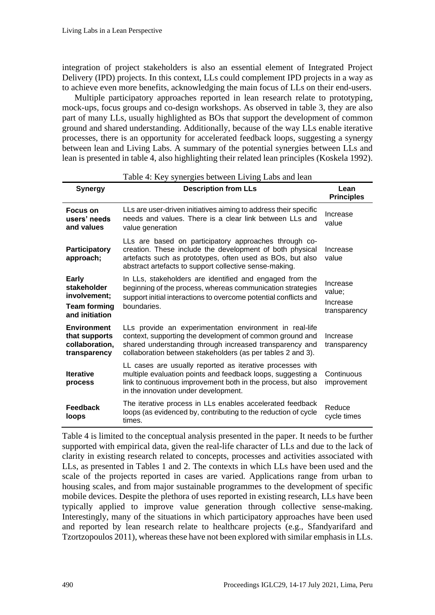integration of project stakeholders is also an essential element of Integrated Project Delivery (IPD) projects. In this context, LLs could complement IPD projects in a way as to achieve even more benefits, acknowledging the main focus of LLs on their end-users.

Multiple participatory approaches reported in lean research relate to prototyping, mock-ups, focus groups and co-design workshops. As observed in table 3, they are also part of many LLs, usually highlighted as BOs that support the development of common ground and shared understanding. Additionally, because of the way LLs enable iterative processes, there is an opportunity for accelerated feedback loops, suggesting a synergy between lean and Living Labs. A summary of the potential synergies between LLs and lean is presented in table 4, also highlighting their related lean principles (Koskela 1992).

| Table +. ISCY syncretes between Erving Eabs and ican                                 |                                                                                                                                                                                                                                               |                                                |  |  |  |
|--------------------------------------------------------------------------------------|-----------------------------------------------------------------------------------------------------------------------------------------------------------------------------------------------------------------------------------------------|------------------------------------------------|--|--|--|
| <b>Synergy</b>                                                                       | <b>Description from LLs</b>                                                                                                                                                                                                                   | Lean<br><b>Principles</b>                      |  |  |  |
| <b>Focus on</b><br>users' needs<br>and values                                        | LLs are user-driven initiatives aiming to address their specific<br>needs and values. There is a clear link between LLs and<br>value generation                                                                                               | Increase<br>value                              |  |  |  |
| Participatory<br>approach;                                                           | LLs are based on participatory approaches through co-<br>creation. These include the development of both physical<br>artefacts such as prototypes, often used as BOs, but also<br>abstract artefacts to support collective sense-making.      | Increase<br>value                              |  |  |  |
| <b>Early</b><br>stakeholder<br>involvement;<br><b>Team forming</b><br>and initiation | In LLs, stakeholders are identified and engaged from the<br>beginning of the process, whereas communication strategies<br>support initial interactions to overcome potential conflicts and<br>boundaries.                                     | Increase<br>value;<br>Increase<br>transparency |  |  |  |
| <b>Environment</b><br>that supports<br>collaboration,<br>transparency                | LLs provide an experimentation environment in real-life<br>context, supporting the development of common ground and<br>shared understanding through increased transparency and<br>collaboration between stakeholders (as per tables 2 and 3). | Increase<br>transparency                       |  |  |  |
| <b>Iterative</b><br>process                                                          | LL cases are usually reported as iterative processes with<br>multiple evaluation points and feedback loops, suggesting a<br>link to continuous improvement both in the process, but also<br>in the innovation under development.              | Continuous<br>improvement                      |  |  |  |
| <b>Feedback</b><br>loops                                                             | The iterative process in LLs enables accelerated feedback<br>loops (as evidenced by, contributing to the reduction of cycle<br>times.                                                                                                         | Reduce<br>cycle times                          |  |  |  |

Table 4: Key synergies between Living Labs and lean

Table 4 is limited to the conceptual analysis presented in the paper. It needs to be further supported with empirical data, given the real-life character of LLs and due to the lack of clarity in existing research related to concepts, processes and activities associated with LLs, as presented in Tables 1 and 2. The contexts in which LLs have been used and the scale of the projects reported in cases are varied. Applications range from urban to housing scales, and from major sustainable programmes to the development of specific mobile devices. Despite the plethora of uses reported in existing research, LLs have been typically applied to improve value generation through collective sense-making. Interestingly, many of the situations in which participatory approaches have been used and reported by lean research relate to healthcare projects (e.g., Sfandyarifard and Tzortzopoulos 2011), whereas these have not been explored with similar emphasis in LLs.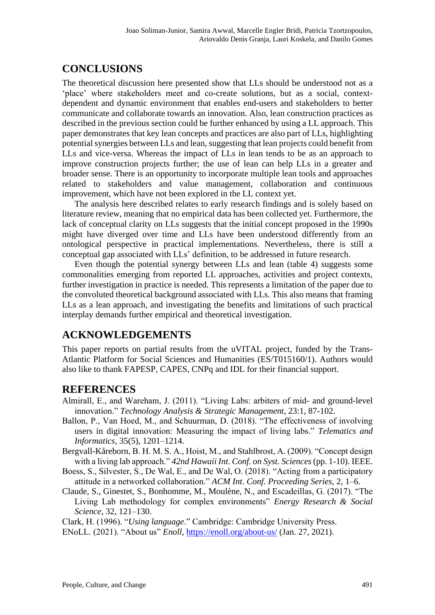# **CONCLUSIONS**

The theoretical discussion here presented show that LLs should be understood not as a 'place' where stakeholders meet and co-create solutions, but as a social, contextdependent and dynamic environment that enables end-users and stakeholders to better communicate and collaborate towards an innovation. Also, lean construction practices as described in the previous section could be further enhanced by using a LL approach. This paper demonstrates that key lean concepts and practices are also part of LLs, highlighting potential synergies between LLs and lean, suggesting that lean projects could benefit from LLs and vice-versa. Whereas the impact of LLs in lean tends to be as an approach to improve construction projects further; the use of lean can help LLs in a greater and broader sense. There is an opportunity to incorporate multiple lean tools and approaches related to stakeholders and value management, collaboration and continuous improvement, which have not been explored in the LL context yet.

The analysis here described relates to early research findings and is solely based on literature review, meaning that no empirical data has been collected yet. Furthermore, the lack of conceptual clarity on LLs suggests that the initial concept proposed in the 1990s might have diverged over time and LLs have been understood differently from an ontological perspective in practical implementations. Nevertheless, there is still a conceptual gap associated with LLs' definition, to be addressed in future research.

Even though the potential synergy between LLs and lean (table 4) suggests some commonalities emerging from reported LL approaches, activities and project contexts, further investigation in practice is needed. This represents a limitation of the paper due to the convoluted theoretical background associated with LLs. This also means that framing LLs as a lean approach, and investigating the benefits and limitations of such practical interplay demands further empirical and theoretical investigation.

### **ACKNOWLEDGEMENTS**

This paper reports on partial results from the uVITAL project, funded by the Trans-Atlantic Platform for Social Sciences and Humanities (ES/T015160/1). Authors would also like to thank FAPESP, CAPES, CNPq and IDL for their financial support.

#### **REFERENCES**

- Almirall, E., and Wareham, J. (2011). "Living Labs: arbiters of mid- and ground-level innovation." *Technology Analysis & Strategic Management*, 23:1, 87-102.
- Ballon, P., Van Hoed, M., and Schuurman, D. (2018). "The effectiveness of involving users in digital innovation: Measuring the impact of living labs." *Telematics and Informatics*, 35(5), 1201–1214.
- Bergvall-Kåreborn, B. H. M. S. A., Hoist, M., and Stahlbrost, A. (2009). "Concept design with a living lab approach." *42nd Hawaii Int. Conf. on Syst. Sciences*(pp. 1-10). IEEE.
- Boess, S., Silvester, S., De Wal, E., and De Wal, O. (2018). "Acting from a participatory attitude in a networked collaboration." *ACM Int. Conf. Proceeding Series*, 2, 1–6.
- Claude, S., Ginestet, S., Bonhomme, M., Moulène, N., and Escadeillas, G. (2017). "The Living Lab methodology for complex environments" *Energy Research & Social Science*, 32, 121–130.

Clark, H. (1996). "*Using language*." Cambridge: Cambridge University Press.

ENoLL. (2021). "About us" *Enoll*,<https://enoll.org/about-us/> (Jan. 27, 2021).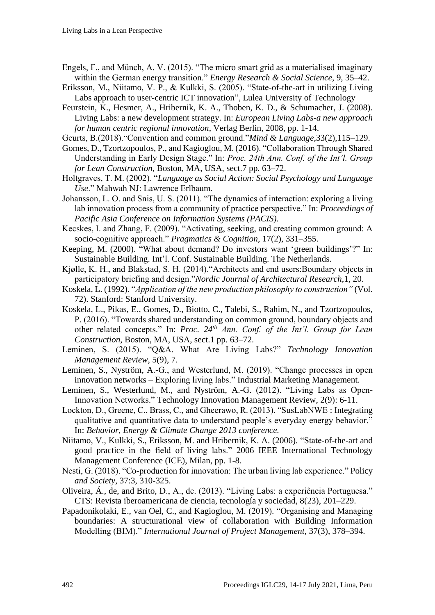- Engels, F., and Münch, A. V. (2015). "The micro smart grid as a materialised imaginary within the German energy transition." *Energy Research & Social Science*, 9, 35–42.
- Eriksson, M., Niitamo, V. P., & Kulkki, S. (2005). "State-of-the-art in utilizing Living Labs approach to user-centric ICT innovation", Lulea University of Technology
- Feurstein, K., Hesmer, A., Hribernik, K. A., Thoben, K. D., & Schumacher, J. (2008). Living Labs: a new development strategy. In: *European Living Labs-a new approach for human centric regional innovation*, Verlag Berlin, 2008, pp. 1-14.
- Geurts, B.(2018)."Convention and common ground."*Mind & Language*,33(2),115–129.
- Gomes, D., Tzortzopoulos, P., and Kagioglou, M. (2016). "Collaboration Through Shared Understanding in Early Design Stage." In: *Proc. 24th Ann. Conf. of the Int'l. Group for Lean Construction*, Boston, MA, USA, sect.7 pp. 63–72.
- Holtgraves, T. M. (2002). "*Language as Social Action: Social Psychology and Language Use*." Mahwah NJ: Lawrence Erlbaum.
- Johansson, L. O. and Snis, U. S. (2011). "The dynamics of interaction: exploring a living lab innovation process from a community of practice perspective." In: *Proceedings of Pacific Asia Conference on Information Systems (PACIS).*
- Kecskes, I. and Zhang, F. (2009). "Activating, seeking, and creating common ground: A socio-cognitive approach." *Pragmatics & Cognition,* 17(2), 331–355.
- Keeping, M. (2000). "What about demand? Do investors want 'green buildings'?" In: Sustainable Building. Int'l. Conf. Sustainable Building. The Netherlands.
- Kjølle, K. H., and Blakstad, S. H. (2014)."Architects and end users:Boundary objects in participatory briefing and design."*Nordic Journal of Architectural Research*,1, 20.
- Koskela, L. (1992). "*Application of the new production philosophy to construction"* (Vol. 72). Stanford: Stanford University.
- Koskela, L., Pikas, E., Gomes, D., Biotto, C., Talebi, S., Rahim, N., and Tzortzopoulos, P. (2016). "Towards shared understanding on common ground, boundary objects and other related concepts." In: *Proc. 24th Ann. Conf. of the Int'l. Group for Lean Construction*, Boston, MA, USA, sect.1 pp. 63–72.
- Leminen, S. (2015). "Q&A. What Are Living Labs?" *Technology Innovation Management Review*, 5(9), 7.
- Leminen, S., Nyström, A.-G., and Westerlund, M. (2019). "Change processes in open innovation networks – Exploring living labs." Industrial Marketing Management.
- Leminen, S., Westerlund, M., and Nyström, A.-G. (2012). "Living Labs as Open-Innovation Networks." Technology Innovation Management Review, 2(9): 6-11.
- Lockton, D., Greene, C., Brass, C., and Gheerawo, R. (2013). "SusLabNWE : Integrating qualitative and quantitative data to understand people's everyday energy behavior." In: *Behavior, Energy & Climate Change 2013 conference.*
- Niitamo, V., Kulkki, S., Eriksson, M. and Hribernik, K. A. (2006). "State-of-the-art and good practice in the field of living labs." 2006 IEEE International Technology Management Conference (ICE), Milan, pp. 1-8.
- Nesti, G. (2018). "Co-production for innovation: The urban living lab experience." Policy *and Society*, 37:3, 310-325.
- Oliveira, Á., de, and Brito, D., A., de. (2013). "Living Labs: a experiência Portuguesa." CTS: Revista iberoamericana de ciencia, tecnología y sociedad, 8(23), 201–229.
- Papadonikolaki, E., van Oel, C., and Kagioglou, M. (2019). "Organising and Managing boundaries: A structurational view of collaboration with Building Information Modelling (BIM)." *International Journal of Project Management*, 37(3), 378–394.